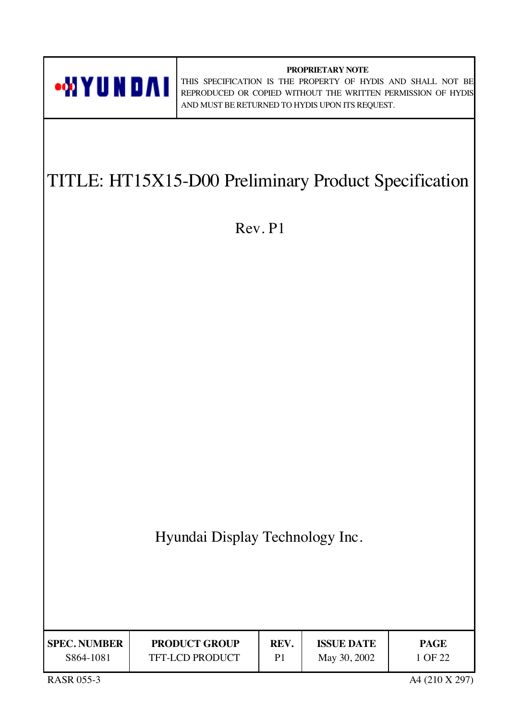

**PROPRIETARY NOTE** THIS SPECIFICATION IS THE PROPERTY OF HYDIS AND SHALL NOT BE REPRODUCED OR COPIED WITHOUT THE WRITTEN PERMISSION OF HYDIS AND MUST BE RETURNED TO HYDIS UPON ITS REQUEST.

# TITLE: HT15X15-D00 Preliminary Product Specification

Rev. P1

| Hyundai Display Technology Inc. |  |  |
|---------------------------------|--|--|
|                                 |  |  |

| <b>SPEC. NUMBER</b> | <b>PRODUCT GROUP</b>   | REV. | <b>ISSUE DATE</b> | PAGE    |
|---------------------|------------------------|------|-------------------|---------|
| S864-1081           | <b>TFT-LCD PRODUCT</b> | P1   | May 30, 2002      | 1 OF 22 |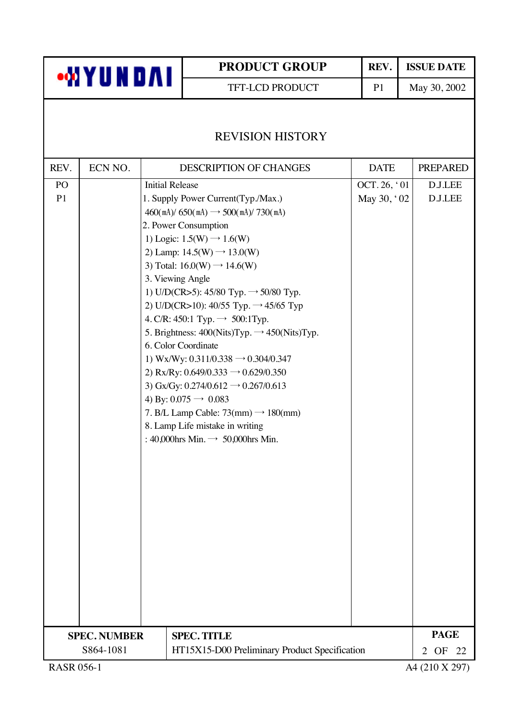TFT-LCD PRODUCT P1 May 30, 2002

### REVISION HISTORY

| REV.                                                       | ECN NO.             |  | <b>DESCRIPTION OF CHANGES</b>                            | <b>DATE</b>  | <b>PREPARED</b>            |
|------------------------------------------------------------|---------------------|--|----------------------------------------------------------|--------------|----------------------------|
| PO                                                         |                     |  | <b>Initial Release</b>                                   | OCT. 26, '01 | <b>D.J.LEE</b>             |
| P <sub>1</sub>                                             |                     |  | 1. Supply Power Current(Typ./Max.)                       | May 30, '02  | <b>D.J.LEE</b>             |
|                                                            |                     |  | $460$ (mA)/ 650(mA) $\rightarrow$ 500(mA)/ 730(mA)       |              |                            |
|                                                            |                     |  | 2. Power Consumption                                     |              |                            |
|                                                            |                     |  | 1) Logic: $1.5(W) \rightarrow 1.6(W)$                    |              |                            |
|                                                            |                     |  | 2) Lamp: $14.5(W) \rightarrow 13.0(W)$                   |              |                            |
|                                                            |                     |  | 3) Total: $16.0(W) \rightarrow 14.6(W)$                  |              |                            |
|                                                            |                     |  | 3. Viewing Angle                                         |              |                            |
|                                                            |                     |  | 1) U/D(CR>5): 45/80 Typ. $\rightarrow$ 50/80 Typ.        |              |                            |
|                                                            |                     |  | 2) U/D(CR>10): 40/55 Typ. $\rightarrow$ 45/65 Typ        |              |                            |
|                                                            |                     |  | 4. C/R: 450:1 Typ. $\rightarrow$ 500:1 Typ.              |              |                            |
|                                                            |                     |  | 5. Brightness: $400(Nits)Typ. \rightarrow 450(Nits)Typ.$ |              |                            |
|                                                            |                     |  | 6. Color Coordinate                                      |              |                            |
|                                                            |                     |  | 1) Wx/Wy: 0.311/0.338 $\rightarrow$ 0.304/0.347          |              |                            |
|                                                            |                     |  | 2) Rx/Ry: $0.649/0.333 \rightarrow 0.629/0.350$          |              |                            |
|                                                            |                     |  | 3) Gx/Gy: $0.274/0.612 \rightarrow 0.267/0.613$          |              |                            |
|                                                            |                     |  | 4) By: $0.075 \rightarrow 0.083$                         |              |                            |
|                                                            |                     |  | 7. B/L Lamp Cable: $73$ (mm) $\rightarrow$ 180(mm)       |              |                            |
|                                                            |                     |  | 8. Lamp Life mistake in writing                          |              |                            |
|                                                            |                     |  | : 40,000hrs Min. $\rightarrow$ 50,000hrs Min.            |              |                            |
|                                                            |                     |  |                                                          |              |                            |
|                                                            |                     |  |                                                          |              |                            |
|                                                            |                     |  |                                                          |              |                            |
|                                                            |                     |  |                                                          |              |                            |
|                                                            |                     |  |                                                          |              |                            |
|                                                            |                     |  |                                                          |              |                            |
|                                                            |                     |  |                                                          |              |                            |
|                                                            |                     |  |                                                          |              |                            |
|                                                            |                     |  |                                                          |              |                            |
|                                                            |                     |  |                                                          |              |                            |
|                                                            |                     |  |                                                          |              |                            |
|                                                            |                     |  |                                                          |              |                            |
|                                                            |                     |  |                                                          |              |                            |
|                                                            | <b>SPEC. NUMBER</b> |  | <b>SPEC. TITLE</b>                                       |              | <b>PAGE</b>                |
| S864-1081<br>HT15X15-D00 Preliminary Product Specification |                     |  |                                                          |              | OF<br>$\overline{2}$<br>22 |
| <b>RASR 056-1</b>                                          |                     |  |                                                          |              | A4 (210 X 297)             |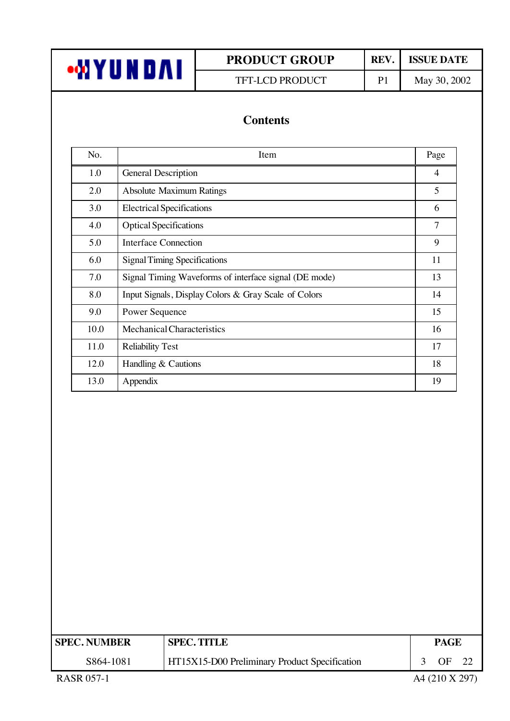| <b>WYUNDAI</b> |  |
|----------------|--|
|----------------|--|

TFT-LCD PRODUCT P1 May 30, 2002

### **Contents**

| No.  | Item                                                  | Page           |
|------|-------------------------------------------------------|----------------|
| 1.0  | General Description                                   | $\overline{4}$ |
| 2.0  | <b>Absolute Maximum Ratings</b>                       | 5              |
| 3.0  | <b>Electrical Specifications</b>                      | 6              |
| 4.0  | <b>Optical Specifications</b>                         | 7              |
| 5.0  | Interface Connection                                  | 9              |
| 6.0  | <b>Signal Timing Specifications</b>                   | 11             |
| 7.0  | Signal Timing Waveforms of interface signal (DE mode) | 13             |
| 8.0  | Input Signals, Display Colors & Gray Scale of Colors  | 14             |
| 9.0  | <b>Power Sequence</b>                                 | 15             |
| 10.0 | Mechanical Characteristics                            | 16             |
| 11.0 | <b>Reliability Test</b>                               | 17             |
| 12.0 | Handling & Cautions                                   | 18             |
| 13.0 | Appendix                                              | 19             |

| <b>SPEC. NUMBER</b> | <b>SPEC. TITLE</b>                            | PAGE           |  |
|---------------------|-----------------------------------------------|----------------|--|
| S864-1081           | HT15X15-D00 Preliminary Product Specification | ΩF             |  |
| <b>RASR 057-1</b>   |                                               | A4 (210 X 297) |  |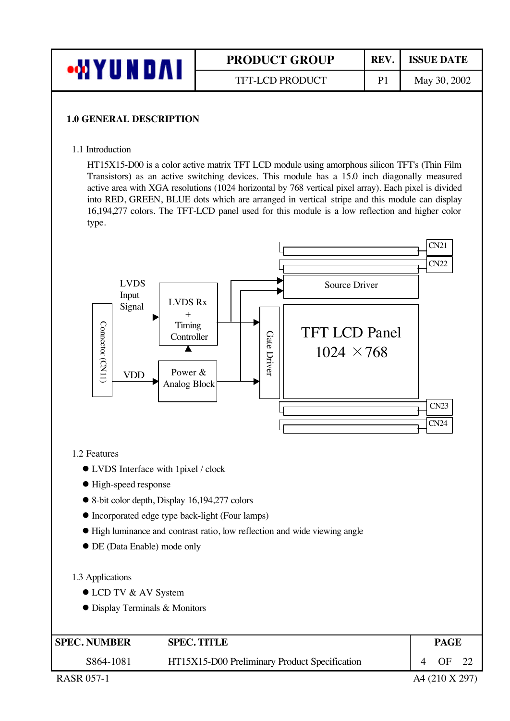| ı   | <b>PRODUCT GROUP</b>   | <b>REV</b> | <b>ISSUE DATE</b> |
|-----|------------------------|------------|-------------------|
| . . | <b>TFT-LCD PRODUCT</b> | P1         | May 30, 2002      |

#### **1.0 GENERAL DESCRIPTION**

#### 1.1 Introduction

HT15X15-D00 is a color active matrix TFT LCD module using amorphous silicon TFT's (Thin Film Transistors) as an active switching devices. This module has a 15.0 inch diagonally measured active area with XGA resolutions (1024 horizontal by 768 vertical pixel array). Each pixel is divided into RED, GREEN, BLUE dots which are arranged in vertical stripe and this module can display 16,194,277 colors. The TFT-LCD panel used for this module is a low reflection and higher color type.



#### 1.2 Features

- **IVDS** Interface with 1pixel / clock
- $\bullet$  High-speed response
- l 8-bit color depth, Display 16,194,277 colors
- $\bullet$  Incorporated edge type back-light (Four lamps)
- l High luminance and contrast ratio, low reflection and wide viewing angle
- $\bullet$  DE (Data Enable) mode only

#### 1.3 Applications

- LCD TV & AV System
- **•** Display Terminals & Monitors

| <b>SPEC. NUMBER</b> | <b>SPEC. TITLE</b>                                   | <b>PAGE</b> |  |
|---------------------|------------------------------------------------------|-------------|--|
| S864-1081           | <b>HT15X15-D00 Preliminary Product Specification</b> | OF          |  |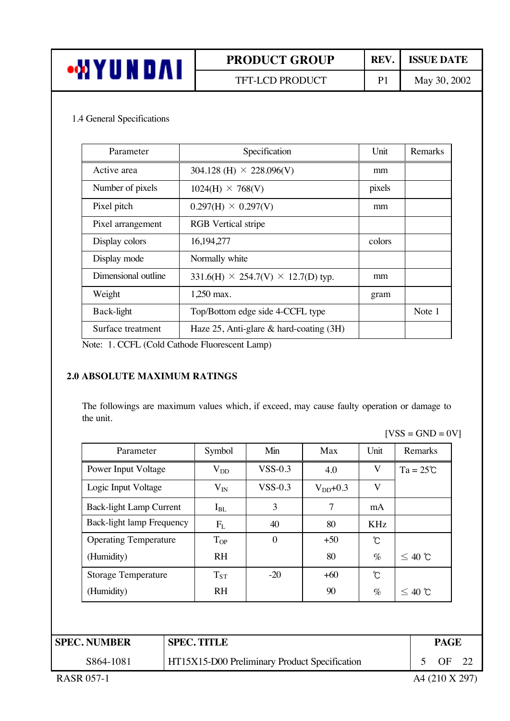| <b>PRODUCT GROUP</b> | <b>REV</b> | <b>ISSUE DATE</b> |
|----------------------|------------|-------------------|
| TFT-LCD PRODUCT      | P1         | May 30, 2002      |

#### 1.4 General Specifications

| Parameter           | Specification                                    | Unit   | Remarks |
|---------------------|--------------------------------------------------|--------|---------|
| Active area         | 304.128 (H) $\times$ 228.096(V)                  | mm     |         |
| Number of pixels    | $1024(H) \times 768(V)$                          | pixels |         |
| Pixel pitch         | $0.297(H) \times 0.297(V)$                       | mm     |         |
| Pixel arrangement   | <b>RGB</b> Vertical stripe                       |        |         |
| Display colors      | 16,194,277                                       | colors |         |
| Display mode        | Normally white                                   |        |         |
| Dimensional outline | 331.6(H) $\times$ 254.7(V) $\times$ 12.7(D) typ. | mm     |         |
| Weight              | 1,250 max.                                       | gram   |         |
| Back-light          | Top/Bottom edge side 4-CCFL type                 |        | Note 1  |
| Surface treatment   | Haze 25, Anti-glare & hard-coating (3H)          |        |         |

Note: 1. CCFL (Cold Cathode Fluorescent Lamp)

#### **2.0 ABSOLUTE MAXIMUM RATINGS**

The followings are maximum values which, if exceed, may cause faulty operation or damage to the unit.

 $[VSS = GND = 0V]$ 

| Parameter                      | Symbol    | Min              | Max           | Unit | Remarks            |
|--------------------------------|-----------|------------------|---------------|------|--------------------|
| Power Input Voltage            | $V_{DD}$  | $VSS-0.3$        | 4.0           | V    | $Ta = 25^{\circ}C$ |
| Logic Input Voltage            | $V_{IN}$  | $VSS-0.3$        | $V_{DD}$ +0.3 | V    |                    |
| <b>Back-light Lamp Current</b> | $I_{BL}$  | 3                | 7             | mA   |                    |
| Back-light lamp Frequency      | $F_{L}$   | 40               | 80            | KHz  |                    |
| <b>Operating Temperature</b>   | $T_{OP}$  | $\boldsymbol{0}$ | $+50$         | Ĉ    |                    |
| (Humidity)                     | <b>RH</b> |                  | 80            | $\%$ | $\leq 40$ ℃        |
| <b>Storage Temperature</b>     | $T_{ST}$  | $-20$            | $+60$         | Ĉ    |                    |
| (Humidity)                     | <b>RH</b> |                  | 90            | $\%$ | $\leq 40$ ℃        |
|                                |           |                  |               |      |                    |
|                                |           |                  |               |      |                    |

| <b>SPEC. NUMBER</b> | <b>SPEC. TITLE</b>                            | <b>PAGE</b> |  |
|---------------------|-----------------------------------------------|-------------|--|
| S864-1081           | HT15X15-D00 Preliminary Product Specification | ΩE          |  |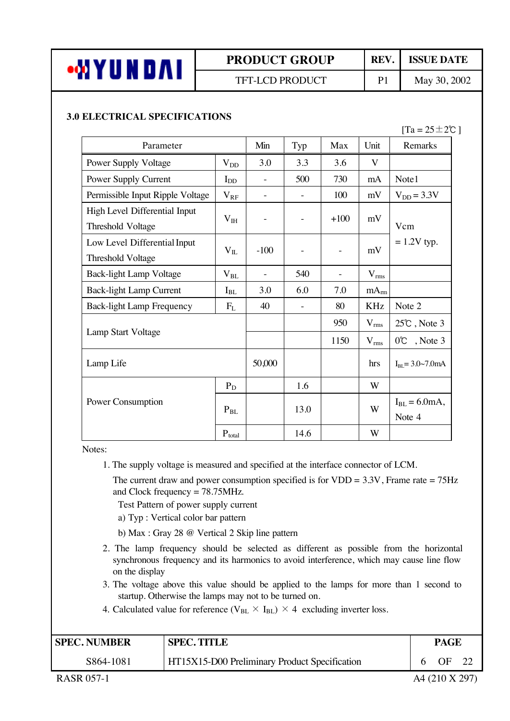

### TFT-LCD PRODUCT P1 May 30, 2002

#### **3.0 ELECTRICAL SPECIFICATIONS**

 $[Ta = 25 \pm 2\degree C]$ 

| Parameter                                          | Min          | Typ                      | Max                      | Unit | Remarks                 |                             |
|----------------------------------------------------|--------------|--------------------------|--------------------------|------|-------------------------|-----------------------------|
| <b>Power Supply Voltage</b>                        | $V_{DD}$     | 3.0                      | 3.3                      | 3.6  | V                       |                             |
| Power Supply Current                               | $I_{DD}$     |                          | 500                      | 730  | mA                      | Note1                       |
| Permissible Input Ripple Voltage                   | $V_{RF}$     | $\blacksquare$           | $\equiv$                 | 100  | mV                      | $V_{DD} = 3.3V$             |
| High Level Differential Input<br>Threshold Voltage |              | $\overline{\phantom{a}}$ | $+100$                   | mV   | Vcm                     |                             |
| Low Level Differential Input<br>Threshold Voltage  | $\rm V_{II}$ | $-100$                   | $\overline{\phantom{a}}$ |      | mV                      | $= 1.2V$ typ.               |
| <b>Back-light Lamp Voltage</b>                     | $\rm V_{BL}$ |                          | 540                      |      | $V_{rms}$               |                             |
| <b>Back-light Lamp Current</b>                     | $I_{BL}$     | 3.0                      | 6.0                      | 7.0  | mA <sub>rm</sub>        |                             |
| <b>Back-light Lamp Frequency</b>                   | $F_{L}$      | 40                       |                          | 80   | <b>KHz</b>              | Note 2                      |
| Lamp Start Voltage                                 |              |                          |                          | 950  | $V_{rms}$               | $25^{\circ}$ , Note 3       |
|                                                    |              |                          |                          | 1150 | $V_{rms}$               | 0°C, Note 3                 |
| Lamp Life                                          | 50,000       |                          |                          | hrs  | $I_{BL} = 3.0 - 7.0$ mA |                             |
|                                                    | $P_D$        |                          | 1.6                      |      | W                       |                             |
| Power Consumption                                  | $P_{BL}$     |                          | 13.0                     |      | W                       | $I_{BL} = 6.0mA,$<br>Note 4 |
|                                                    | $P_{total}$  |                          | 14.6                     |      | W                       |                             |

Notes:

1. The supply voltage is measured and specified at the interface connector of LCM.

The current draw and power consumption specified is for  $VDD = 3.3V$ , Frame rate = 75Hz and Clock frequency = 78.75MHz.

Test Pattern of power supply current

- a) Typ : Vertical color bar pattern
- b) Max : Gray 28 @ Vertical 2 Skip line pattern
- 2. The lamp frequency should be selected as different as possible from the horizontal synchronous frequency and its harmonics to avoid interference, which may cause line flow on the display
- 3. The voltage above this value should be applied to the lamps for more than 1 second to startup. Otherwise the lamps may not to be turned on.
- 4. Calculated value for reference ( $V_{BL} \times I_{BL}$ )  $\times$  4 excluding inverter loss.

| <b>SPEC. NUMBER</b> | <b>SPEC. TITLE</b>                            | PAGE |    |  |
|---------------------|-----------------------------------------------|------|----|--|
| S864-1081           | HT15X15-D00 Preliminary Product Specification |      | ΩE |  |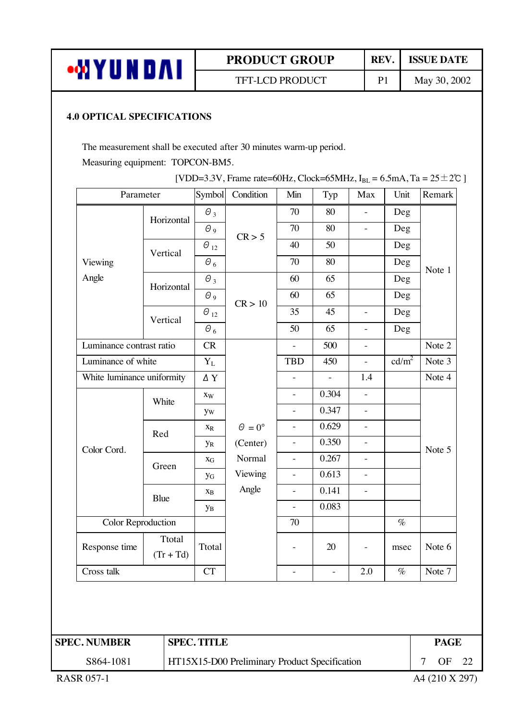| •MYUNDAI |
|----------|
|----------|

TFT-LCD PRODUCT P1 May 30, 2002

#### **4.0 OPTICAL SPECIFICATIONS**

The measurement shall be executed after 30 minutes warm-up period.

Measuring equipment: TOPCON-BM5.

|                          | Parameter                  | Symbol                    | Condition          | Min                      | Typ      | Max                      | Unit              | Remark |
|--------------------------|----------------------------|---------------------------|--------------------|--------------------------|----------|--------------------------|-------------------|--------|
|                          | Horizontal                 | $\theta_3$                |                    | 70                       | 80       | $\frac{1}{2}$            | Deg               |        |
|                          |                            | $\theta$ 9                | CR > 5             | 70                       | 80       | $\equiv$                 | Deg               |        |
|                          | Vertical                   | $\Theta_{12}$             |                    | 40                       | 50       |                          | Deg               |        |
| Viewing                  |                            | $\Theta$ $_6$             |                    | 70                       | 80       |                          | Deg               |        |
| Angle                    | Horizontal                 | $\theta_3$                |                    | 60                       | 65       |                          | Deg               | Note 1 |
|                          |                            | $\theta$ 9                | CR > 10            | 60                       | 65       |                          | Deg               |        |
|                          | Vertical                   | $\Theta_{12}$             |                    | 35                       | 45       | $\overline{\phantom{0}}$ | Deg               |        |
|                          |                            | $\theta_{6}$              |                    | 50                       | 65       | $\overline{a}$           | Deg               |        |
| Luminance contrast ratio |                            | CR                        |                    | $\bar{\phantom{a}}$      | 500      | $\overline{a}$           |                   | Note 2 |
| Luminance of white       |                            | $Y_L$                     |                    | <b>TBD</b>               | 450      | $\Box$                   | cd/m <sup>2</sup> | Note 3 |
|                          | White luminance uniformity |                           |                    |                          | $\equiv$ | 1.4                      |                   | Note 4 |
|                          | White                      | $\mathbf{X} \mathbf{W}$   |                    | $\blacksquare$           | 0.304    | $\frac{1}{2}$            |                   | Note 5 |
|                          |                            | <b>yw</b>                 |                    | $\equiv$                 | 0.347    | $\Box$                   |                   |        |
|                          | Red                        | $\mathbf{X}_{\textrm{R}}$ | $\Theta = 0^\circ$ | $\blacksquare$           | 0.629    | $\frac{1}{2}$            |                   |        |
| Color Cord.              |                            | <b>y</b> <sub>R</sub>     | (Center)           | $\Box$                   | 0.350    | $\Box$                   |                   |        |
|                          | Green<br>Blue              | $\mathbf{X}_{\mathbf{G}}$ | Normal             | $\overline{\phantom{a}}$ | 0.267    | $\overline{a}$           |                   |        |
|                          |                            | $y_G$                     | Viewing            | $\Box$                   | 0.613    | $\overline{a}$           |                   |        |
|                          |                            | $\mathbf{X}_{\text{B}}$   | Angle              | $\equiv$                 | 0.141    | $\equiv$                 |                   |        |
|                          |                            | yв                        |                    | $\blacksquare$           | 0.083    |                          |                   |        |
| Color Reproduction       |                            |                           |                    | 70                       |          |                          | $\%$              |        |
| Response time            | Ttotal<br>$(Tr + Td)$      | Ttotal                    |                    | $\overline{\phantom{0}}$ | 20       | $\overline{\phantom{0}}$ | msec              | Note 6 |
| Cross talk               |                            | <b>CT</b>                 |                    |                          |          | 2.0                      | $\%$              | Note 7 |

[VDD=3.3V, Frame rate=60Hz, Clock=65MHz,  $I_{BL} = 6.5$ mA, Ta = 25 $\pm$ 2°C ]

HT15X15-D00 Preliminary Product Specification 7 OF 22

S864-1081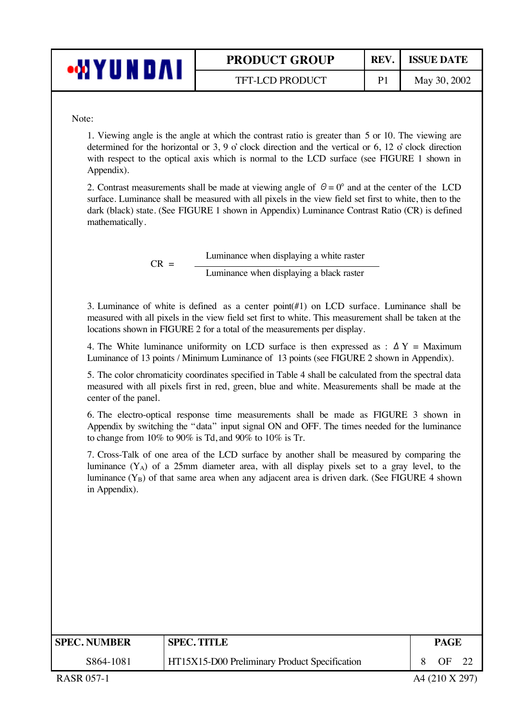| ∙MYUND∧I | <b>PRODUCT GROUP</b>   | REV. | <b>ISSUE DATE</b> |
|----------|------------------------|------|-------------------|
|          | <b>TFT-LCD PRODUCT</b> |      | May 30, 2002      |

Note:

1. Viewing angle is the angle at which the contrast ratio is greater than 5 or 10. The viewing are determined for the horizontal or 3, 9 o' clock direction and the vertical or 6, 12 o' clock direction with respect to the optical axis which is normal to the LCD surface (see FIGURE 1 shown in Appendix).

2. Contrast measurements shall be made at viewing angle of  $\theta = 0^{\circ}$  and at the center of the LCD surface. Luminance shall be measured with all pixels in the view field set first to white, then to the dark (black) state. (See FIGURE 1 shown in Appendix) Luminance Contrast Ratio (CR) is defined mathematically.

 $CR =$  Luminance when displaying a white raster Luminance when displaying a black raster

3. Luminance of white is defined as a center point(#1) on LCD surface. Luminance shall be measured with all pixels in the view field set first to white. This measurement shall be taken at the locations shown in FIGURE 2 for a total of the measurements per display.

4. The White luminance uniformity on LCD surface is then expressed as :  $\Delta Y =$  Maximum Luminance of 13 points / Minimum Luminance of 13 points (see FIGURE 2 shown in Appendix).

5. The color chromaticity coordinates specified in Table 4 shall be calculated from the spectral data measured with all pixels first in red, green, blue and white. Measurements shall be made at the center of the panel.

6. The electro-optical response time measurements shall be made as FIGURE 3 shown in Appendix by switching the "data" input signal ON and OFF. The times needed for the luminance to change from 10% to 90% is Td, and 90% to 10% is Tr.

7. Cross-Talk of one area of the LCD surface by another shall be measured by comparing the luminance  $(Y_A)$  of a 25mm diameter area, with all display pixels set to a gray level, to the luminance  $(Y_B)$  of that same area when any adjacent area is driven dark. (See FIGURE 4 shown in Appendix).

| <b>SPEC. NUMBER</b> | <b>SPEC. TITLE</b>                            | PAGE |  |
|---------------------|-----------------------------------------------|------|--|
| S864-1081           | HT15X15-D00 Preliminary Product Specification | ΩE   |  |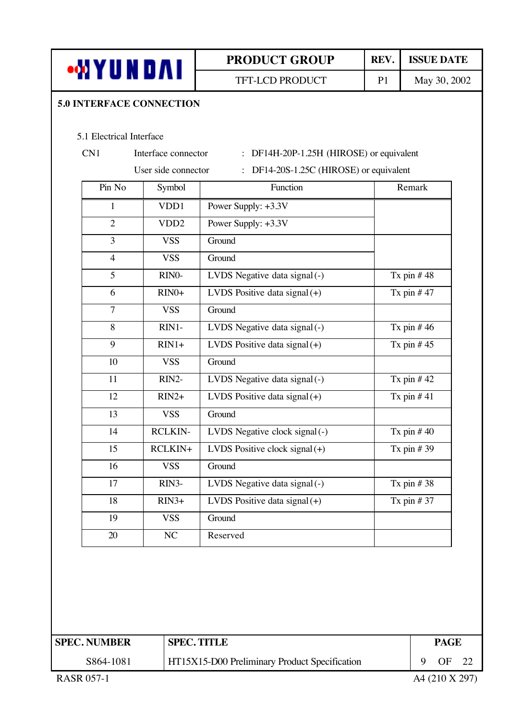

TFT-LCD PRODUCT P1 May 30, 2002

#### **5.0 INTERFACE CONNECTION**

#### 5.1 Electrical Interface

- 
- 

### CN1 Interface connector : DF14H-20P-1.25H (HIROSE) or equivalent

# User side connector : DF14-20S-1.25C (HIROSE) or equivalent

| Pin No         | Symbol             | Function                         | Remark       |
|----------------|--------------------|----------------------------------|--------------|
| $\mathbf{1}$   | VDD1               | Power Supply: +3.3V              |              |
| $\overline{2}$ | VDD <sub>2</sub>   | Power Supply: +3.3V              |              |
| $\overline{3}$ | <b>VSS</b>         | Ground                           |              |
| $\overline{4}$ | <b>VSS</b>         | Ground                           |              |
| 5              | RINO-              | LVDS Negative data signal (-)    | Tx pin $#48$ |
| 6              | $RIN0+$            | LVDS Positive data signal $(+)$  | Tx pin $#47$ |
| $\overline{7}$ | <b>VSS</b>         | Ground                           |              |
| 8              | $RIN1-$            | LVDS Negative data signal (-)    | Tx pin $#46$ |
| 9              | $RIN1+$            | LVDS Positive data signal $(+)$  | Tx pin $#45$ |
| 10             | <b>VSS</b>         | Ground                           |              |
| 11             | RIN2-              | LVDS Negative data signal (-)    | Tx pin $#42$ |
| 12             | $RIN2+$            | LVDS Positive data signal $(+)$  | Tx pin $#41$ |
| 13             | <b>VSS</b>         | Ground                           |              |
| 14             | <b>RCLKIN-</b>     | LVDS Negative clock signal (-)   | Tx pin $#40$ |
| 15             | RCLKIN+            | LVDS Positive clock signal $(+)$ | Tx pin $#39$ |
| 16             | <b>VSS</b>         | Ground                           |              |
| 17             | RIN <sub>3</sub> - | LVDS Negative data signal (-)    | Tx pin $#38$ |
| 18             | $RIN3+$            | LVDS Positive data signal $(+)$  | Tx pin $#37$ |
| 19             | <b>VSS</b>         | Ground                           |              |
| 20             | NC                 | Reserved                         |              |

| <b>SPEC. NUMBER</b> | <b>SPEC. TITLE</b>                                   | <b>PAGE</b> |    |  |
|---------------------|------------------------------------------------------|-------------|----|--|
| S864-1081           | <b>HT15X15-D00 Preliminary Product Specification</b> |             | ΩF |  |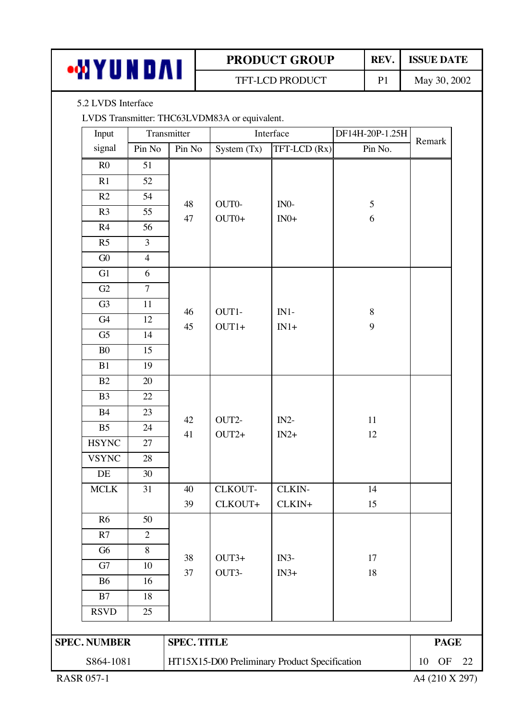| m V<br>0 A I | <b>PRODUCT GROUP</b>   | <b>REV</b>            | <b>ISSUE DATE</b> |
|--------------|------------------------|-----------------------|-------------------|
|              | <b>TFT-LCD PRODUCT</b> | $\mathbf{P}^{\prime}$ | May 30, 2002      |

### 5.2 LVDS Interface

LVDS Transmitter: THC63LVDM83A or equivalent.

| Input               |                | Transmitter        | Interface     |                                               | DF14H-20P-1.25H |                       |  |
|---------------------|----------------|--------------------|---------------|-----------------------------------------------|-----------------|-----------------------|--|
| signal              | Pin No         | Pin No             | System $(Tx)$ | $TFT-LCD (Rx)$                                | Pin No.         | Remark                |  |
| R <sub>0</sub>      | 51             |                    |               |                                               |                 |                       |  |
| R1                  | 52             |                    |               |                                               |                 |                       |  |
| R2                  | 54             | 48                 | $OUT0-$       | $IN0-$                                        | 5               |                       |  |
| R3                  | 55             | 47                 | $OUT0+$       | $IN0+$                                        | $\sqrt{6}$      |                       |  |
| R4                  | 56             |                    |               |                                               |                 |                       |  |
| R5                  | $\overline{3}$ |                    |               |                                               |                 |                       |  |
| ${\rm G0}$          | $\overline{4}$ |                    |               |                                               |                 |                       |  |
| G1                  | 6              |                    |               |                                               |                 |                       |  |
| G2                  | $\overline{7}$ |                    |               |                                               |                 |                       |  |
| G <sub>3</sub>      | 11             | 46                 | OUT1-         | $IN1-$                                        | $\, 8$          |                       |  |
| G4                  | 12             | 45                 | $OUT1+$       | $IN1+$                                        | 9               |                       |  |
| G <sub>5</sub>      | 14             |                    |               |                                               |                 |                       |  |
| B <sub>0</sub>      | 15             |                    |               |                                               |                 |                       |  |
| B1                  | 19             |                    |               |                                               |                 |                       |  |
| B2                  | 20             |                    |               |                                               |                 |                       |  |
| B <sub>3</sub>      | 22             |                    | 42<br>OUT2-   |                                               |                 |                       |  |
| <b>B4</b>           | 23             |                    |               | $IN2-$                                        | $11\,$          |                       |  |
| B <sub>5</sub>      | 24             | 41                 | $OUT2+$       | $IN2+$                                        | 12              |                       |  |
| <b>HSYNC</b>        | 27             |                    |               |                                               |                 |                       |  |
| <b>VSYNC</b>        | 28             |                    |               |                                               |                 |                       |  |
| $\rm DE$            | $30\,$         |                    |               |                                               |                 |                       |  |
| MCLK                | 31             | 40                 | CLKOUT-       | CLKIN-                                        | 14              |                       |  |
|                     |                | 39                 | CLKOUT+       | CLKIN+                                        | 15              |                       |  |
| R <sub>6</sub>      | 50             |                    |               |                                               |                 |                       |  |
| R7                  | $\overline{2}$ |                    |               |                                               |                 |                       |  |
| G <sub>6</sub>      | $8\,$          | 38                 | $OUT3+$       | $IN3-$                                        | 17              |                       |  |
| G7                  | $10\,$         | 37                 | OUT3-         | $IN3+$                                        | 18              |                       |  |
| <b>B6</b>           | 16             |                    |               |                                               |                 |                       |  |
| B7                  | 18             |                    |               |                                               |                 |                       |  |
| <b>RSVD</b>         | 25             |                    |               |                                               |                 |                       |  |
|                     |                |                    |               |                                               |                 | <b>PAGE</b>           |  |
| <b>SPEC. NUMBER</b> |                | <b>SPEC. TITLE</b> |               |                                               |                 |                       |  |
| S864-1081           |                |                    |               | HT15X15-D00 Preliminary Product Specification |                 | 10<br><b>OF</b><br>22 |  |
| <b>RASR 057-1</b>   |                |                    |               |                                               |                 | A4 (210 X 297)        |  |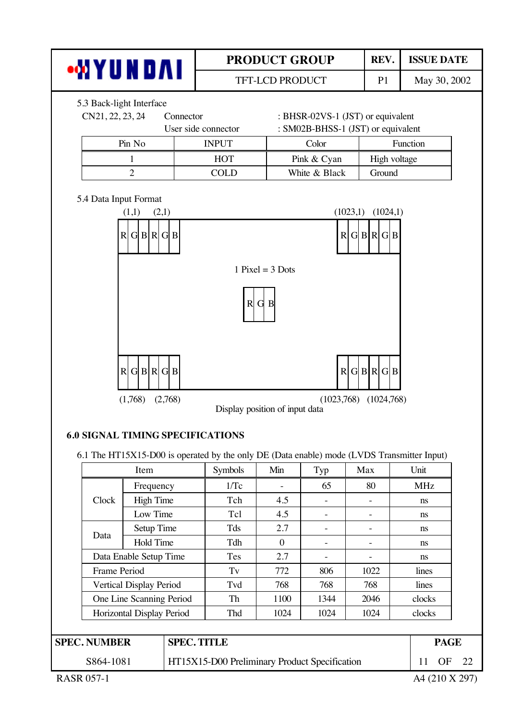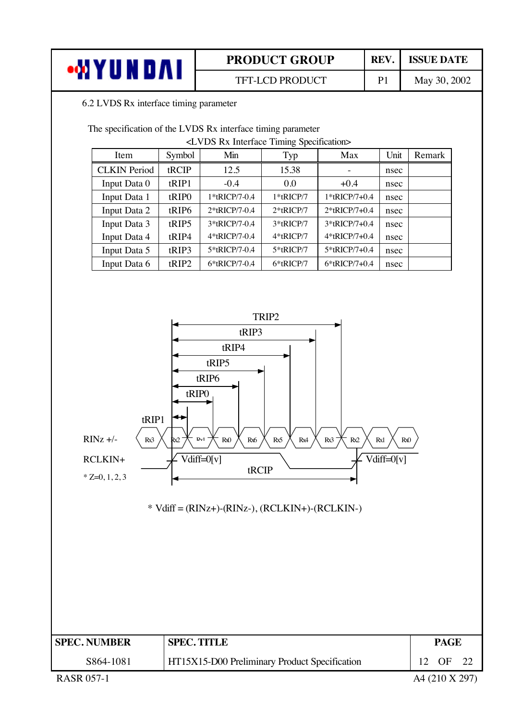| •MYUNDAI | <b>PRODUCT GROUP</b>   | REV.           | <b>ISSUE DATE</b> |
|----------|------------------------|----------------|-------------------|
|          | <b>TFT-LCD PRODUCT</b> | P <sub>1</sub> | May 30, 2002      |

#### 6.2 LVDS Rx interface timing parameter

The specification of the LVDS Rx interface timing parameter

<LVDS Rx Interface Timing Specification>

| Item                | Symbol            | Min           | Typ          | Max           | Unit | Remark |
|---------------------|-------------------|---------------|--------------|---------------|------|--------|
| <b>CLKIN</b> Period | tRCIP             | 12.5          | 15.38        |               | nsec |        |
| Input Data 0        | tRIP1             | $-0.4$        | 0.0          | $+0.4$        | nsec |        |
| Input Data 1        | tRIP <sub>0</sub> | 1*tRICP/7-0.4 | 1*tRICP/7    | 1*tRICP/7+0.4 | nsec |        |
| Input Data 2        | tRIP6             | 2*tRICP/7-0.4 | $2*$ tRICP/7 | 2*tRICP/7+0.4 | nsec |        |
| Input Data 3        | tRIP5             | 3*tRICP/7-0.4 | 3*tRICP/7    | 3*tRICP/7+0.4 | nsec |        |
| Input Data 4        | tRIP4             | 4*tRICP/7-0.4 | 4*tRICP/7    | 4*tRICP/7+0.4 | nsec |        |
| Input Data 5        | tRIP3             | 5*tRICP/7-0.4 | 5*tRICP/7    | 5*tRICP/7+0.4 | nsec |        |
| Input Data 6        | tRIP2             | 6*tRICP/7-0.4 | 6*tRICP/7    | 6*tRICP/7+0.4 | nsec |        |



\* Vdiff = (RINz+)-(RINz-), (RCLKIN+)-(RCLKIN-)

| <b>SPEC. NUMBER</b> | <b>SPEC. TITLE</b>                            | PAGE |  |
|---------------------|-----------------------------------------------|------|--|
| S864-1081           | HT15X15-D00 Preliminary Product Specification | OE   |  |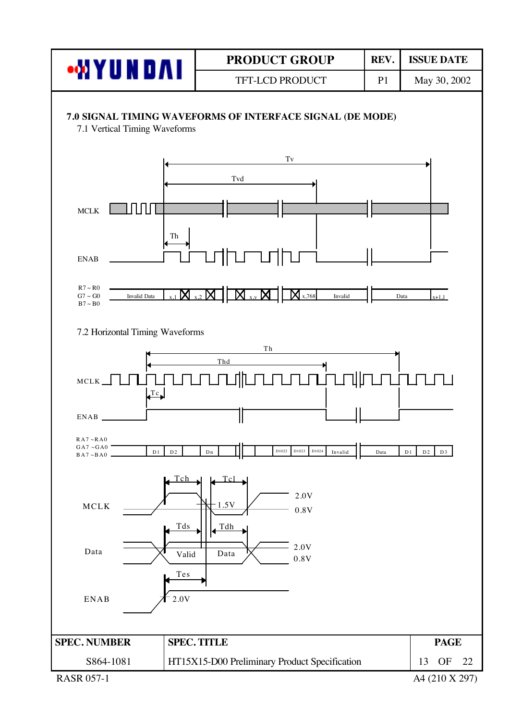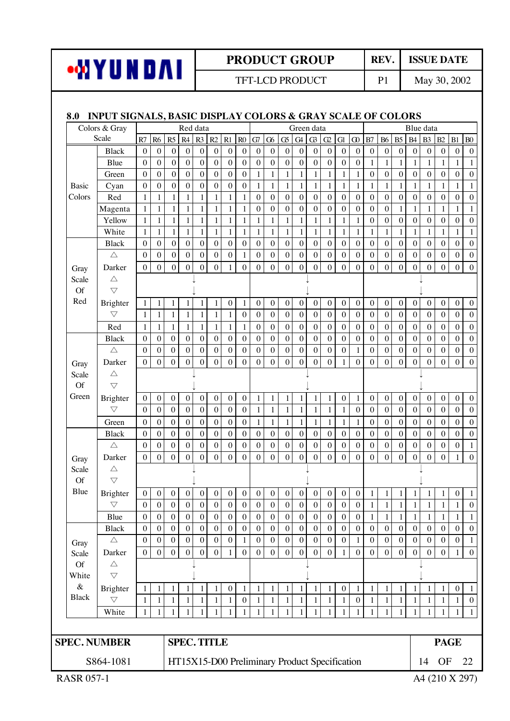

TFT-LCD PRODUCT P1 May 30, 2002

#### **8.0 INPUT SIGNALS, BASIC DISPLAY COLORS & GRAY SCALE OF COLORS**

| Colors & Gray      |                                |                                  |                                  | Red data<br>Green data |                                  |                                  |                                  |                       |                                  |                                               |                                      | Blue data                            |                                      |                                      |                                      |                                      |                                      |                                      |                                      |                                      |                                      |                                      |                                      |                                      |                                      |
|--------------------|--------------------------------|----------------------------------|----------------------------------|------------------------|----------------------------------|----------------------------------|----------------------------------|-----------------------|----------------------------------|-----------------------------------------------|--------------------------------------|--------------------------------------|--------------------------------------|--------------------------------------|--------------------------------------|--------------------------------------|--------------------------------------|--------------------------------------|--------------------------------------|--------------------------------------|--------------------------------------|--------------------------------------|--------------------------------------|--------------------------------------|--------------------------------------|
|                    | Scale                          | R7                               | R6                               | R5                     | R4                               | R3                               | R2                               | R1                    | $\rm R0$                         | G7                                            | ${\bf G6}$                           | G <sub>5</sub>                       | G4                                   | $\mathbb{G}$                         | $\mbox{G2}$                          | G1                                   | ${\bf G}$                            | B7                                   | <b>B6</b>                            | B <sub>5</sub>                       | <b>B4</b>                            | B <sub>3</sub>                       | B2                                   | B1                                   | B <sub>0</sub>                       |
|                    | <b>Black</b>                   | $\mathbf{0}$                     | $\boldsymbol{0}$                 | $\mathbf{0}$           | $\boldsymbol{0}$                 | $\boldsymbol{0}$                 | $\boldsymbol{0}$                 | $\mathbf{0}$          | $\mathbf{0}$                     | $\boldsymbol{0}$                              | $\boldsymbol{0}$                     | $\boldsymbol{0}$                     | $\boldsymbol{0}$                     | $\boldsymbol{0}$                     | $\boldsymbol{0}$                     | $\mathbf{0}$                         | $\boldsymbol{0}$                     | $\mathbf{0}$                         | $\boldsymbol{0}$                     | $\boldsymbol{0}$                     | $\boldsymbol{0}$                     | $\boldsymbol{0}$                     | $\boldsymbol{0}$                     | $\mathbf{0}$                         | $\mathbf 0$                          |
|                    | Blue                           | $\theta$                         | $\boldsymbol{0}$                 | $\mathbf{0}$           | $\mathbf{0}$                     | $\boldsymbol{0}$                 | $\boldsymbol{0}$                 | $\boldsymbol{0}$      | $\boldsymbol{0}$                 | $\boldsymbol{0}$                              | $\boldsymbol{0}$                     | $\boldsymbol{0}$                     | $\boldsymbol{0}$                     | $\boldsymbol{0}$                     | $\boldsymbol{0}$                     | $\boldsymbol{0}$                     | $\overline{0}$                       | $\mathbf{1}$                         | $\mathbf{1}$                         | $\mathbf{1}$                         | $\mathbf{1}$                         | $\mathbf{1}$                         | $\mathbf{1}$                         | $\mathbf{1}$                         | $\mathbf{1}$                         |
|                    | Green                          | $\Omega$                         | $\boldsymbol{0}$                 | $\overline{0}$         | $\overline{0}$                   | $\boldsymbol{0}$                 | $\mathbf{0}$                     | $\theta$              | $\boldsymbol{0}$                 | 1                                             | $\mathbf{1}$                         | 1                                    | $\mathbf{1}$                         | 1                                    | $\mathbf{1}$                         | 1                                    | $\mathbf{1}$                         | $\mathbf{0}$                         | $\boldsymbol{0}$                     | $\overline{0}$                       | $\mathbf{0}$                         | $\mathbf{0}$                         | $\mathbf{0}$                         | $\boldsymbol{0}$                     | $\boldsymbol{0}$                     |
| <b>Basic</b>       | Cyan                           | $\theta$                         | $\mathbf{0}$                     | $\mathbf{0}$           | $\boldsymbol{0}$                 | $\boldsymbol{0}$                 | $\mathbf{0}$                     | $\boldsymbol{0}$      | $\mathbf{0}$                     | 1                                             | $\mathbf{1}$                         | 1                                    | $\mathbf{1}$                         | $\mathbf{1}$                         | $\mathbf{1}$                         | 1                                    | $\mathbf{1}$                         | 1                                    | $\mathbf{1}$                         | 1                                    | $\mathbf{1}$                         | 1                                    | 1                                    | 1                                    | 1                                    |
| Colors             | Red                            | $\mathbf{1}$                     | $\mathbf{1}$                     | 1                      | $\mathbf{1}$                     | $\mathbf{1}$                     | $\mathbf{1}$                     | 1                     | $\mathbf{1}$                     | $\boldsymbol{0}$                              | $\boldsymbol{0}$                     | $\boldsymbol{0}$                     | $\boldsymbol{0}$                     | $\boldsymbol{0}$                     | $\boldsymbol{0}$                     | $\boldsymbol{0}$                     | $\boldsymbol{0}$                     | $\boldsymbol{0}$                     | $\boldsymbol{0}$                     | $\boldsymbol{0}$                     | $\boldsymbol{0}$                     | $\boldsymbol{0}$                     | $\boldsymbol{0}$                     | $\boldsymbol{0}$                     | $\boldsymbol{0}$                     |
|                    | Magenta                        | $\mathbf{1}$                     | $\mathbf{1}$                     | 1                      | $\mathbf{1}$                     | $\mathbf{1}$                     | $\mathbf{1}$                     | 1                     | $\mathbf{1}$                     | $\mathbf{0}$                                  | $\boldsymbol{0}$                     | $\boldsymbol{0}$                     | $\overline{0}$                       | $\boldsymbol{0}$                     | $\boldsymbol{0}$                     | $\boldsymbol{0}$                     | $\overline{0}$                       | $\boldsymbol{0}$                     | $\overline{0}$                       | $\mathbf{1}$                         | $\mathbf{1}$                         | $\mathbf{1}$                         | $\mathbf{1}$                         | $\mathbf{1}$                         | $\mathbf{1}$                         |
|                    | Yellow                         | $\mathbf{1}$                     | $\mathbf{1}$                     | 1                      | $\mathbf{1}$                     | $\mathbf{1}$                     | $\mathbf{1}$                     | $\mathbf{1}$          | $\mathbf{1}$                     | 1                                             | $\mathbf{1}$                         | $\mathbf{1}$                         | $\mathbf{1}$                         | $\mathbf{1}$                         | $\mathbf{1}$                         | $\mathbf{1}$                         | $\mathbf{1}$                         | $\boldsymbol{0}$                     | $\boldsymbol{0}$                     | $\mathbf{0}$                         | $\boldsymbol{0}$                     | $\mathbf{0}$                         | $\boldsymbol{0}$                     | $\boldsymbol{0}$                     | $\boldsymbol{0}$                     |
|                    | White                          | $\mathbf{1}$                     | $\mathbf{1}$                     | 1                      | 1                                | $\mathbf{1}$                     | $\mathbf{1}$                     | 1                     | $\mathbf{1}$                     | 1                                             | $\mathbf{1}$                         | $\mathbf{1}$                         | $\mathbf{1}$                         | 1                                    | $\mathbf{1}$                         | 1                                    | 1                                    | 1                                    | $\mathbf{1}$                         | 1                                    | 1                                    | 1                                    | $\mathbf{1}$                         | 1                                    | 1                                    |
|                    | <b>Black</b>                   | $\boldsymbol{0}$                 | $\boldsymbol{0}$                 | $\boldsymbol{0}$       | $\boldsymbol{0}$<br>$\mathbf{0}$ | $\boldsymbol{0}$                 | $\boldsymbol{0}$                 | $\boldsymbol{0}$      | $\boldsymbol{0}$                 | $\boldsymbol{0}$<br>$\boldsymbol{0}$          | $\boldsymbol{0}$<br>$\boldsymbol{0}$ | $\mathbf{0}$                         | $\boldsymbol{0}$<br>$\boldsymbol{0}$ | $\boldsymbol{0}$                     | $\boldsymbol{0}$                     | $\mathbf{0}$                         | $\boldsymbol{0}$<br>$\overline{0}$   | $\boldsymbol{0}$<br>$\boldsymbol{0}$ | $\boldsymbol{0}$<br>$\boldsymbol{0}$ | $\boldsymbol{0}$                     | $\boldsymbol{0}$                     | $\boldsymbol{0}$                     | $\boldsymbol{0}$                     | $\mathbf{0}$                         | $\boldsymbol{0}$                     |
|                    | $\triangle$                    | $\theta$                         | $\boldsymbol{0}$                 | $\boldsymbol{0}$       | $\overline{0}$                   | $\boldsymbol{0}$                 | $\boldsymbol{0}$                 | $\boldsymbol{0}$      | $\mathbf{1}$                     |                                               |                                      | $\mathbf{0}$                         | $\overline{0}$                       | $\boldsymbol{0}$                     | $\boldsymbol{0}$                     | $\mathbf{0}$                         |                                      |                                      | $\mathbf{0}$                         | $\mathbf{0}$                         | $\boldsymbol{0}$<br>$\overline{0}$   | $\boldsymbol{0}$                     | $\boldsymbol{0}$                     | $\boldsymbol{0}$                     | $\boldsymbol{0}$<br>$\mathbf{0}$     |
| Gray               | Darker                         | $\theta$                         | $\theta$                         | $\mathbf{0}$           |                                  | $\boldsymbol{0}$                 | $\mathbf{0}$                     | 1                     | $\theta$                         | $\overline{0}$                                | $\boldsymbol{0}$                     | $\boldsymbol{0}$                     |                                      | $\boldsymbol{0}$                     | $\overline{0}$                       | $\mathbf{0}$                         | $\boldsymbol{0}$                     | $\boldsymbol{0}$                     |                                      | $\overline{0}$                       |                                      | $\boldsymbol{0}$                     | $\overline{0}$                       | $\boldsymbol{0}$                     |                                      |
| Scale<br><b>Of</b> | $\triangle$<br>$\triangledown$ |                                  |                                  |                        |                                  |                                  |                                  |                       |                                  |                                               |                                      |                                      |                                      |                                      |                                      |                                      |                                      |                                      |                                      |                                      |                                      |                                      |                                      |                                      |                                      |
| Red                |                                |                                  |                                  |                        |                                  |                                  |                                  |                       |                                  |                                               |                                      |                                      |                                      |                                      |                                      |                                      |                                      |                                      |                                      |                                      |                                      |                                      |                                      |                                      |                                      |
|                    | Brighter<br>$\bigtriangledown$ | 1<br>$\mathbf{1}$                | $\mathbf{1}$<br>$\mathbf{1}$     | 1<br>1                 | $\mathbf{1}$<br>$\mathbf{1}$     | 1<br>1                           | $\mathbf{1}$<br>1                | $\boldsymbol{0}$<br>1 | $\mathbf{1}$<br>$\mathbf{0}$     | $\boldsymbol{0}$<br>$\boldsymbol{0}$          | $\boldsymbol{0}$<br>$\boldsymbol{0}$ | $\boldsymbol{0}$<br>$\boldsymbol{0}$ | $\boldsymbol{0}$<br>$\boldsymbol{0}$ | $\boldsymbol{0}$<br>$\boldsymbol{0}$ | $\boldsymbol{0}$<br>$\boldsymbol{0}$ | $\boldsymbol{0}$<br>$\boldsymbol{0}$ | $\boldsymbol{0}$<br>$\boldsymbol{0}$ | $\boldsymbol{0}$<br>$\boldsymbol{0}$ | $\boldsymbol{0}$<br>$\boldsymbol{0}$ | $\boldsymbol{0}$<br>$\boldsymbol{0}$ | $\boldsymbol{0}$<br>$\boldsymbol{0}$ | $\boldsymbol{0}$<br>$\mathbf{0}$     | $\boldsymbol{0}$<br>$\boldsymbol{0}$ | $\boldsymbol{0}$<br>$\Omega$         | $\boldsymbol{0}$<br>$\boldsymbol{0}$ |
|                    |                                |                                  |                                  | $\mathbf{1}$           |                                  |                                  |                                  |                       |                                  | $\boldsymbol{0}$                              | $\boldsymbol{0}$                     | $\boldsymbol{0}$                     |                                      | $\boldsymbol{0}$                     |                                      | $\boldsymbol{0}$                     |                                      | $\boldsymbol{0}$                     |                                      | $\boldsymbol{0}$                     | $\boldsymbol{0}$                     |                                      |                                      |                                      |                                      |
|                    | Red<br><b>Black</b>            | $\mathbf{1}$<br>$\boldsymbol{0}$ | $\mathbf{1}$<br>$\boldsymbol{0}$ | $\mathbf{0}$           | $\mathbf{1}$<br>$\boldsymbol{0}$ | $\mathbf{1}$<br>$\boldsymbol{0}$ | $\mathbf{1}$<br>$\boldsymbol{0}$ | 1<br>$\mathbf{0}$     | $\mathbf{1}$<br>$\boldsymbol{0}$ | $\mathbf{0}$                                  | $\boldsymbol{0}$                     | $\mathbf{0}$                         | $\boldsymbol{0}$<br>$\boldsymbol{0}$ | $\boldsymbol{0}$                     | $\boldsymbol{0}$<br>$\boldsymbol{0}$ | $\boldsymbol{0}$                     | $\boldsymbol{0}$<br>$\boldsymbol{0}$ | $\mathbf{0}$                         | $\boldsymbol{0}$<br>$\boldsymbol{0}$ | $\boldsymbol{0}$                     | $\boldsymbol{0}$                     | $\boldsymbol{0}$<br>$\boldsymbol{0}$ | $\boldsymbol{0}$<br>$\mathbf{0}$     | $\boldsymbol{0}$<br>$\boldsymbol{0}$ | $\boldsymbol{0}$<br>0                |
|                    | $\triangle$                    | $\Omega$                         | $\boldsymbol{0}$                 | $\boldsymbol{0}$       | $\boldsymbol{0}$                 | $\mathbf{0}$                     | $\mathbf{0}$                     | $\mathbf{0}$          | $\mathbf{0}$                     | $\boldsymbol{0}$                              | $\boldsymbol{0}$                     | $\mathbf{0}$                         | $\boldsymbol{0}$                     | $\boldsymbol{0}$                     | $\boldsymbol{0}$                     | $\boldsymbol{0}$                     | $\mathbf{1}$                         | $\boldsymbol{0}$                     | $\boldsymbol{0}$                     | $\mathbf{0}$                         | $\boldsymbol{0}$                     | $\boldsymbol{0}$                     | $\boldsymbol{0}$                     | $\boldsymbol{0}$                     | $\boldsymbol{0}$                     |
|                    | Darker                         | $\mathbf{0}$                     | $\theta$                         | $\theta$               | $\overline{0}$                   | $\boldsymbol{0}$                 | $\mathbf{0}$                     | $\theta$              | $\theta$                         | $\overline{0}$                                | $\theta$                             | $\mathbf{0}$                         | $\boldsymbol{0}$                     | $\boldsymbol{0}$                     | $\overline{0}$                       | 1                                    | $\boldsymbol{0}$                     | $\overline{0}$                       | $\overline{0}$                       | $\Omega$                             | $\overline{0}$                       | $\boldsymbol{0}$                     | $\overline{0}$                       | $\boldsymbol{0}$                     | $\boldsymbol{0}$                     |
| Gray<br>Scale      | $\triangle$                    |                                  |                                  |                        |                                  |                                  |                                  |                       |                                  |                                               |                                      |                                      |                                      |                                      |                                      |                                      |                                      |                                      |                                      |                                      |                                      |                                      |                                      |                                      |                                      |
| <b>Of</b>          | $\bigtriangledown$             |                                  |                                  |                        |                                  |                                  |                                  |                       |                                  |                                               |                                      |                                      |                                      |                                      |                                      |                                      |                                      |                                      |                                      |                                      |                                      |                                      |                                      |                                      |                                      |
| Green              | Brighter                       | $\boldsymbol{0}$                 | $\boldsymbol{0}$                 | $\boldsymbol{0}$       | $\boldsymbol{0}$                 | $\boldsymbol{0}$                 | $\boldsymbol{0}$                 | $\boldsymbol{0}$      | $\boldsymbol{0}$                 | $\mathbf{1}$                                  | $\mathbf{1}$                         | $\mathbf{1}$                         | $\mathbf{1}$                         | 1                                    | $\mathbf{1}$                         | $\boldsymbol{0}$                     | $\mathbf{1}$                         | $\mathbf{0}$                         | $\boldsymbol{0}$                     | $\boldsymbol{0}$                     | $\boldsymbol{0}$                     | $\boldsymbol{0}$                     | $\boldsymbol{0}$                     | $\boldsymbol{0}$                     | $\boldsymbol{0}$                     |
|                    | $\bigtriangledown$             | $\overline{0}$                   | $\overline{0}$                   | $\overline{0}$         | $\overline{0}$                   | $\mathbf 0$                      | $\mathbf{0}$                     | $\overline{0}$        | $\overline{0}$                   | $\mathbf{1}$                                  | $\mathbf{1}$                         | $\mathbf{1}$                         | $\mathbf{1}$                         | $\mathbf{1}$                         | $\mathbf{1}$                         | $\mathbf{1}$                         | $\overline{0}$                       | $\overline{0}$                       | $\overline{0}$                       | $\boldsymbol{0}$                     | $\overline{0}$                       | $\overline{0}$                       | $\overline{0}$                       | $\overline{0}$                       | $\overline{0}$                       |
|                    | Green                          | $\theta$                         | $\boldsymbol{0}$                 | $\boldsymbol{0}$       | $\boldsymbol{0}$                 | $\boldsymbol{0}$                 | $\mathbf{0}$                     | $\mathbf{0}$          | $\mathbf{0}$                     | 1                                             | $\mathbf{1}$                         | 1                                    | $\mathbf{1}$                         | 1                                    | $\mathbf{1}$                         | 1                                    | $\mathbf{1}$                         | $\boldsymbol{0}$                     | $\mathbf{0}$                         | $\mathbf{0}$                         | $\boldsymbol{0}$                     | $\boldsymbol{0}$                     | $\boldsymbol{0}$                     | $\boldsymbol{0}$                     | $\boldsymbol{0}$                     |
|                    | <b>Black</b>                   | $\boldsymbol{0}$                 | $\boldsymbol{0}$                 | $\mathbf{0}$           | $\boldsymbol{0}$                 | $\boldsymbol{0}$                 | $\boldsymbol{0}$                 | $\mathbf{0}$          | $\mathbf{0}$                     | $\boldsymbol{0}$                              | $\boldsymbol{0}$                     | $\boldsymbol{0}$                     | $\boldsymbol{0}$                     | $\boldsymbol{0}$                     | $\boldsymbol{0}$                     | $\boldsymbol{0}$                     | $\boldsymbol{0}$                     | $\boldsymbol{0}$                     | $\boldsymbol{0}$                     | $\boldsymbol{0}$                     | $\boldsymbol{0}$                     | $\boldsymbol{0}$                     | $\boldsymbol{0}$                     | $\mathbf{0}$                         | $\boldsymbol{0}$                     |
|                    | $\triangle$                    | $\theta$                         | $\boldsymbol{0}$                 | $\boldsymbol{0}$       | $\mathbf{0}$                     | $\boldsymbol{0}$                 | $\mathbf 0$                      | $\boldsymbol{0}$      | $\boldsymbol{0}$                 | $\mathbf{0}$                                  | $\boldsymbol{0}$                     | $\boldsymbol{0}$                     | $\boldsymbol{0}$                     | $\boldsymbol{0}$                     | $\boldsymbol{0}$                     | $\boldsymbol{0}$                     | $\overline{0}$                       | $\boldsymbol{0}$                     | $\overline{0}$                       | $\mathbf{0}$                         | $\boldsymbol{0}$                     | $\boldsymbol{0}$                     | $\mathbf{0}$                         | $\boldsymbol{0}$                     | $\mathbf{1}$                         |
| Gray               | Darker                         | $\theta$                         | $\theta$                         | $\theta$               | $\boldsymbol{0}$                 | $\mathbf{0}$                     | $\boldsymbol{0}$                 | $\theta$              | $\theta$                         | $\overline{0}$                                | $\boldsymbol{0}$                     | $\mathbf{0}$                         | $\boldsymbol{0}$                     | $\mathbf{0}$                         | $\overline{0}$                       | $\mathbf{0}$                         | $\boldsymbol{0}$                     | $\boldsymbol{0}$                     | $\boldsymbol{0}$                     | $\Omega$                             | $\overline{0}$                       | $\boldsymbol{0}$                     | $\boldsymbol{0}$                     | 1                                    | $\mathbf{0}$                         |
| Scale              | $\triangle$                    |                                  |                                  |                        |                                  |                                  |                                  |                       |                                  |                                               |                                      |                                      |                                      |                                      |                                      |                                      |                                      |                                      |                                      |                                      |                                      |                                      |                                      |                                      |                                      |
| <b>Of</b>          | $\triangledown$                |                                  |                                  |                        |                                  |                                  |                                  |                       |                                  |                                               |                                      |                                      |                                      |                                      |                                      |                                      |                                      |                                      |                                      |                                      |                                      |                                      |                                      |                                      |                                      |
| Blue               | Brighter                       | $\boldsymbol{0}$                 | $\boldsymbol{0}$                 | 0                      | $\boldsymbol{0}$                 | $\boldsymbol{0}$                 | $\boldsymbol{0}$                 | 0                     | $\boldsymbol{0}$                 | $\boldsymbol{0}$                              | $\boldsymbol{0}$                     | $\boldsymbol{0}$                     | $\boldsymbol{0}$                     | $\boldsymbol{0}$                     | $\boldsymbol{0}$                     | $\boldsymbol{0}$                     | $\boldsymbol{0}$                     | 1                                    | $\mathbf{1}$                         | 1                                    | 1                                    | 1                                    | 1                                    | $\boldsymbol{0}$                     | 1                                    |
|                    | $\bigtriangledown$             | $\Omega$                         | $\theta$                         | $\Omega$               | $\Omega$                         | $\overline{0}$                   | $\overline{0}$                   | $\Omega$              | $\Omega$                         | $\Omega$                                      | $\mathbf{0}$                         | $\overline{0}$                       | $\overline{0}$                       | $\overline{0}$                       | $\overline{0}$                       | $\mathbf{0}$                         | $\overline{0}$                       | $\mathbf{1}$                         | $\mathbf{1}$                         | $\mathbf{1}$                         |                                      |                                      |                                      |                                      | $\Omega$                             |
|                    | Blue                           | $\mathbf{0}$                     | $\boldsymbol{0}$                 | $\boldsymbol{0}$       | $\boldsymbol{0}$                 | $\boldsymbol{0}$                 | $\boldsymbol{0}$                 | $\boldsymbol{0}$      | $\boldsymbol{0}$                 | $\boldsymbol{0}$                              | $\boldsymbol{0}$                     | $\boldsymbol{0}$                     | $\boldsymbol{0}$                     | $\boldsymbol{0}$                     | $\boldsymbol{0}$                     | $\mathbf{0}$                         | $\boldsymbol{0}$                     | $\mathbf{1}$                         | $\mathbf{1}$                         | $\mathbf{1}$                         | $\mathbf{1}$                         | $\mathbf{1}$                         | $\mathbf{1}$                         | $\mathbf{1}$                         | 1                                    |
|                    | <b>Black</b>                   | $\boldsymbol{0}$                 | $\boldsymbol{0}$                 | $\boldsymbol{0}$       | $\boldsymbol{0}$                 | $\boldsymbol{0}$                 | $\boldsymbol{0}$                 | $\boldsymbol{0}$      | $\boldsymbol{0}$                 | $\boldsymbol{0}$                              | $\boldsymbol{0}$                     | $\boldsymbol{0}$                     | $\boldsymbol{0}$                     | $\boldsymbol{0}$                     | $\boldsymbol{0}$                     | $\boldsymbol{0}$                     | $\boldsymbol{0}$                     | $\boldsymbol{0}$                     | $\boldsymbol{0}$                     | $\boldsymbol{0}$                     | $\boldsymbol{0}$                     | $\boldsymbol{0}$                     | $\boldsymbol{0}$                     | $\boldsymbol{0}$                     | $\boldsymbol{0}$                     |
| Gray               | $\triangle$                    | $\boldsymbol{0}$                 | $\boldsymbol{0}$                 | $\boldsymbol{0}$       | $\boldsymbol{0}$                 | $\boldsymbol{0}$                 | $\boldsymbol{0}$                 | $\boldsymbol{0}$      | $\mathbf{1}$                     | $\boldsymbol{0}$                              | $\boldsymbol{0}$                     | $\boldsymbol{0}$                     | $\boldsymbol{0}$                     | $\boldsymbol{0}$                     | $\boldsymbol{0}$                     | $\boldsymbol{0}$                     | $\mathbf{1}$                         | $\boldsymbol{0}$                     | $\boldsymbol{0}$                     | $\boldsymbol{0}$                     | $\boldsymbol{0}$                     | $\boldsymbol{0}$                     | $\boldsymbol{0}$                     | $\boldsymbol{0}$                     | $\mathbf{1}$                         |
| Scale              | Darker                         | $\boldsymbol{0}$                 | $\mathbf 0$                      | $\mathbf{0}$           | $\overline{0}$                   | $\boldsymbol{0}$                 | $\mathbf 0$                      | $\mathbf{1}$          | $\mathbf{0}$                     | $\overline{0}$                                | $\boldsymbol{0}$                     | $\mathbf{0}$                         | $\overline{0}$                       | $\boldsymbol{0}$                     | $\mathbf{0}$                         | $\mathbf{1}$                         | $\overline{0}$                       | $\boldsymbol{0}$                     | $\mathbf{0}$                         | $\mathbf{0}$                         | $\overline{0}$                       | $\boldsymbol{0}$                     | $\mathbf{0}$                         | $\mathbf{1}$                         | $\mathbf{0}$                         |
| <b>Of</b>          | $\triangle$                    |                                  |                                  |                        |                                  |                                  |                                  |                       |                                  |                                               |                                      |                                      |                                      |                                      |                                      |                                      |                                      |                                      |                                      |                                      |                                      |                                      |                                      |                                      |                                      |
| White              | $\bigtriangledown$             |                                  |                                  |                        |                                  |                                  |                                  |                       |                                  |                                               |                                      |                                      |                                      |                                      |                                      |                                      |                                      |                                      |                                      |                                      |                                      |                                      |                                      |                                      |                                      |
| $\&$               | Brighter                       | $\mathbf{1}$                     | $\mathbf{1}$                     | $\mathbf{1}$           | 1                                | $\mathbf{1}$                     | $\mathbf{1}$                     | $\boldsymbol{0}$      | $\mathbf{1}$                     | $\mathbf{1}$                                  | $\mathbf{1}$                         | $\mathbf{1}$                         | $\mathbf{1}$                         | $\mathbf{1}$                         | $\mathbf{1}$                         | $\boldsymbol{0}$                     | $\mathbf{1}$                         | $\mathbf{1}$                         | $\mathbf{1}$                         | $\mathbf{1}$                         | $\mathbf{1}$                         | 1                                    | $\mathbf{1}$                         | $\boldsymbol{0}$                     | $\mathbf{1}$                         |
| <b>Black</b>       | $\bigtriangledown$             | $\mathbf{1}$                     | $\mathbf{1}$                     | $\mathbf{1}$           | $\mathbf{1}$                     | $\mathbf{1}$                     | $\mathbf{1}$                     | $\mathbf{1}$          | $\mathbf{0}$                     | $\mathbf{1}$                                  | $\mathbf{1}$                         | $\mathbf{1}$                         | $\mathbf{1}$                         | $\mathbf{1}$                         | $\mathbf{1}$                         | $\mathbf{1}$                         | $\overline{0}$                       | $\mathbf{1}$                         | $\mathbf{1}$                         | $\mathbf{1}$                         | $\mathbf{1}$                         | 1                                    | $\mathbf{1}$                         | 1                                    | $\boldsymbol{0}$                     |
|                    | White                          | $\mathbf{1}$                     | 1                                |                        |                                  |                                  | 1                                |                       |                                  |                                               | 1                                    | 1                                    | 1                                    |                                      | 1                                    |                                      |                                      |                                      | 1                                    |                                      |                                      |                                      |                                      |                                      |                                      |
|                    |                                |                                  |                                  |                        |                                  |                                  |                                  |                       |                                  |                                               |                                      |                                      |                                      |                                      |                                      |                                      |                                      |                                      |                                      |                                      |                                      |                                      |                                      |                                      |                                      |
|                    | <b>SPEC. NUMBER</b>            |                                  |                                  |                        |                                  | <b>SPEC. TITLE</b>               |                                  |                       |                                  |                                               |                                      |                                      |                                      |                                      |                                      |                                      |                                      |                                      |                                      |                                      |                                      |                                      | <b>PAGE</b>                          |                                      |                                      |
|                    | S864-1081                      |                                  |                                  |                        |                                  |                                  |                                  |                       |                                  | HT15X15-D00 Preliminary Product Specification |                                      |                                      |                                      |                                      |                                      |                                      |                                      |                                      |                                      |                                      |                                      | 14                                   | OF                                   |                                      | 22                                   |
|                    |                                |                                  |                                  |                        |                                  |                                  |                                  |                       |                                  |                                               |                                      |                                      |                                      |                                      |                                      |                                      |                                      |                                      |                                      |                                      |                                      |                                      |                                      |                                      |                                      |
| <b>RASR 057-1</b>  |                                |                                  |                                  |                        |                                  |                                  |                                  |                       |                                  |                                               |                                      |                                      |                                      |                                      |                                      |                                      |                                      |                                      |                                      |                                      |                                      |                                      | A4 (210 X 297)                       |                                      |                                      |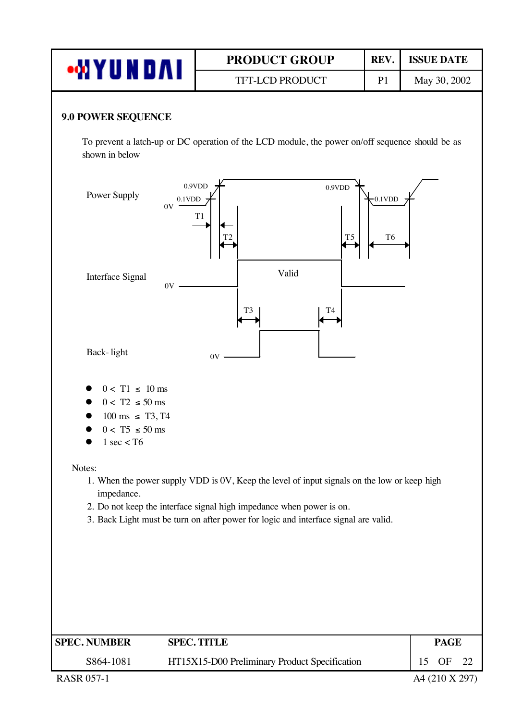|                                                                                                                           | <b>PRODUCT GROUP</b>                                                                                                                                                                                                                                       | REV.                        | <b>ISSUE DATE</b>                |  |  |  |
|---------------------------------------------------------------------------------------------------------------------------|------------------------------------------------------------------------------------------------------------------------------------------------------------------------------------------------------------------------------------------------------------|-----------------------------|----------------------------------|--|--|--|
|                                                                                                                           | <b>WYUNDAI</b><br>TFT-LCD PRODUCT<br>May 30, 2002<br>P <sub>1</sub>                                                                                                                                                                                        |                             |                                  |  |  |  |
| <b>9.0 POWER SEQUENCE</b><br>shown in below                                                                               | To prevent a latch-up or DC operation of the LCD module, the power on/off sequence should be as                                                                                                                                                            |                             |                                  |  |  |  |
| Power Supply<br>0V                                                                                                        | 0.9VDD<br>0.9VDD<br>0.1VDD<br>T <sub>1</sub><br>T <sub>5</sub>                                                                                                                                                                                             | $0.1$ VDD<br>T <sub>6</sub> |                                  |  |  |  |
| Interface Signal<br>0V                                                                                                    | Valid<br>T <sub>3</sub><br>T4                                                                                                                                                                                                                              |                             |                                  |  |  |  |
| Back-light                                                                                                                | 0V                                                                                                                                                                                                                                                         |                             |                                  |  |  |  |
| $0 < T1 \leq 10$ ms<br>$0 < T2 \leq 50$ ms<br>$100 \text{ ms } \leq T3, T4$<br>$0 < T5 \le 50$ ms<br>$1 \text{ sec} <$ T6 |                                                                                                                                                                                                                                                            |                             |                                  |  |  |  |
| Notes:<br>impedance.                                                                                                      | 1. When the power supply VDD is 0V, Keep the level of input signals on the low or keep high<br>2. Do not keep the interface signal high impedance when power is on.<br>3. Back Light must be turn on after power for logic and interface signal are valid. |                             |                                  |  |  |  |
| <b>SPEC. NUMBER</b>                                                                                                       | <b>SPEC. TITLE</b>                                                                                                                                                                                                                                         |                             | <b>PAGE</b>                      |  |  |  |
| S864-1081<br><b>RASR 057-1</b>                                                                                            | HT15X15-D00 Preliminary Product Specification                                                                                                                                                                                                              |                             | OF<br>15<br>22<br>A4 (210 X 297) |  |  |  |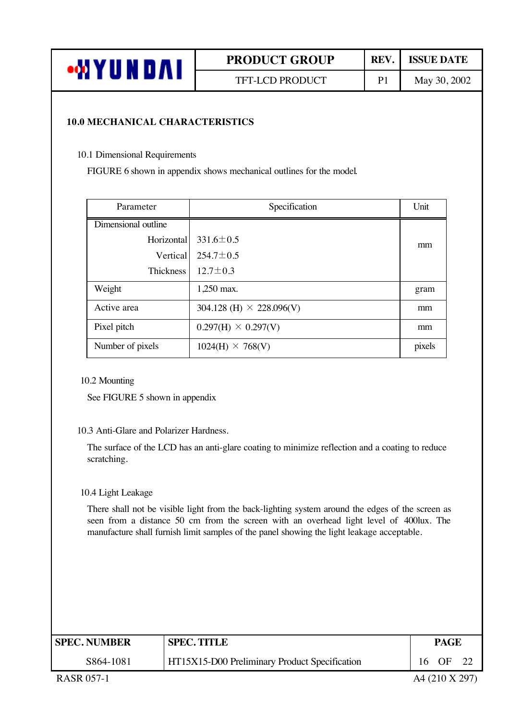| oM \<br>N D A<br><b>AU</b> | <b>PRODUCT GROUP</b> | <b>REV</b> | <b>ISSUE DATE</b> |
|----------------------------|----------------------|------------|-------------------|
|                            | TFT-LCD PRODUCT      |            | May 30, 2002      |

#### **10.0 MECHANICAL CHARACTERISTICS**

10.1 Dimensional Requirements

FIGURE 6 shown in appendix shows mechanical outlines for the model.

| Parameter           | Specification                     | Unit   |
|---------------------|-----------------------------------|--------|
| Dimensional outline |                                   |        |
| Horizontal          | $331.6 \pm 0.5$                   | mm     |
| Vertical            | $254.7 \pm 0.5$                   |        |
| Thickness           | $12.7 \pm 0.3$                    |        |
| Weight              | 1,250 max.                        | gram   |
| Active area         | $304.128$ (H) $\times$ 228.096(V) | mm     |
| Pixel pitch         | $0.297(H) \times 0.297(V)$        | mm     |
| Number of pixels    | $1024(H) \times 768(V)$           | pixels |

10.2 Mounting

See FIGURE 5 shown in appendix

#### 10.3 Anti-Glare and Polarizer Hardness.

The surface of the LCD has an anti-glare coating to minimize reflection and a coating to reduce scratching.

#### 10.4 Light Leakage

There shall not be visible light from the back-lighting system around the edges of the screen as seen from a distance 50 cm from the screen with an overhead light level of 400lux. The manufacture shall furnish limit samples of the panel showing the light leakage acceptable.

| <b>SPEC. NUMBER</b> | <b>SPEC. TITLE</b>                                   | PAGE            |      |  |
|---------------------|------------------------------------------------------|-----------------|------|--|
| S864-1081           | <b>HT15X15-D00 Preliminary Product Specification</b> | 16 <sup>1</sup> | - OF |  |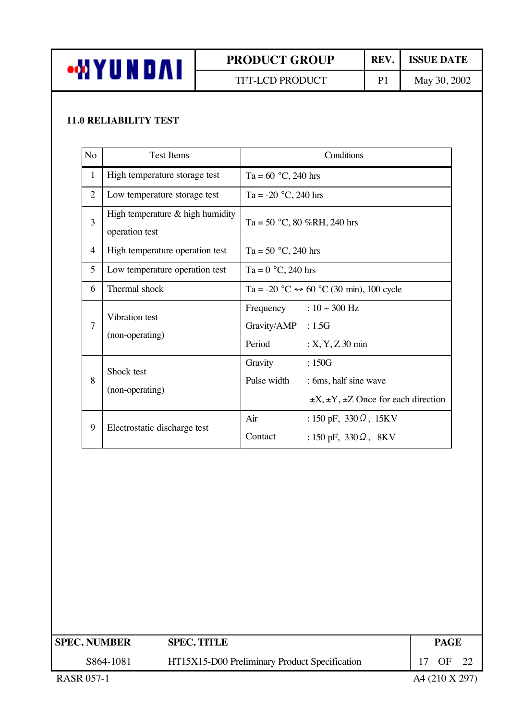

### TFT-LCD PRODUCT P1 May 30, 2002

#### **11.0 RELIABILITY TEST**

| N <sub>o</sub> | <b>Test Items</b>                                  | Conditions                                                                                                |
|----------------|----------------------------------------------------|-----------------------------------------------------------------------------------------------------------|
| $\mathbf{1}$   | High temperature storage test                      | Ta = $60 °C$ , 240 hrs                                                                                    |
| $\overline{2}$ | Low temperature storage test                       | Ta = -20 $^{\circ}$ C, 240 hrs                                                                            |
| 3              | High temperature & high humidity<br>operation test | Ta = 50 °C, 80 %RH, 240 hrs                                                                               |
| $\overline{4}$ | High temperature operation test                    | Ta = 50 $^{\circ}$ C, 240 hrs                                                                             |
| 5              | Low temperature operation test                     | Ta = $0 °C$ , 240 hrs                                                                                     |
| 6              | Thermal shock                                      | Ta = -20 °C $\leftrightarrow$ 60 °C (30 min), 100 cycle                                                   |
| $\overline{7}$ | Vibration test<br>(non-operating)                  | Frequency : $10 \sim 300$ Hz<br>Gravity/AMP : 1.5G<br>Period<br>$: X, Y, Z$ 30 min                        |
| 8              | Shock test<br>(non-operating)                      | Gravity<br>:150G<br>Pulse width<br>: 6ms, half sine wave<br>$\pm X, \pm Y, \pm Z$ Once for each direction |
| 9              | Electrostatic discharge test                       | Air<br>: 150 pF, $330\Omega$ , 15KV<br>Contact<br>: 150 pF, $330 \Omega$ , 8KV                            |

| <b>SPEC. NUMBER</b> | <b>SPEC. TITLE</b>                            |                | PAGE |  |
|---------------------|-----------------------------------------------|----------------|------|--|
| S864-1081           | HT15X15-D00 Preliminary Product Specification | OF             |      |  |
| RASR 057-1          |                                               | A4 (210 X 297) |      |  |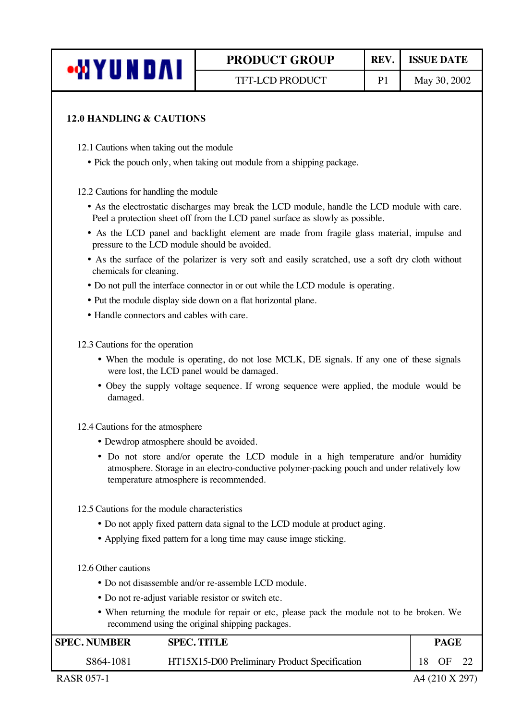| ∙MYUND∧I |  |
|----------|--|
|----------|--|

#### **12.0 HANDLING & CAUTIONS**

12.1 Cautions when taking out the module

• Pick the pouch only, when taking out module from a shipping package.

12.2 Cautions for handling the module

- ü As the electrostatic discharges may break the LCD module, handle the LCD module with care. Peel a protection sheet off from the LCD panel surface as slowly as possible.
- ü As the LCD panel and backlight element are made from fragile glass material, impulse and pressure to the LCD module should be avoided.
- As the surface of the polarizer is very soft and easily scratched, use a soft dry cloth without chemicals for cleaning.
- ü Do not pull the interface connector in or out while the LCD module is operating.
- Put the module display side down on a flat horizontal plane.
- Handle connectors and cables with care.

12.3 Cautions for the operation

- ü When the module is operating, do not lose MCLK, DE signals. If any one of these signals were lost, the LCD panel would be damaged.
- ü Obey the supply voltage sequence. If wrong sequence were applied, the module would be damaged.
- 12.4 Cautions for the atmosphere
	- ü Dewdrop atmosphere should be avoided.
	- ü Do not store and/or operate the LCD module in a high temperature and/or humidity atmosphere. Storage in an electro-conductive polymer-packing pouch and under relatively low temperature atmosphere is recommended.
- 12.5 Cautions for the module characteristics
	- Do not apply fixed pattern data signal to the LCD module at product aging.
	- Applying fixed pattern for a long time may cause image sticking.

12.6 Other cautions

- ü Do not disassemble and/or re-assemble LCD module.
- Do not re-adjust variable resistor or switch etc.
- ü When returning the module for repair or etc, please pack the module not to be broken. We recommend using the original shipping packages.

| <b>SPEC. NUMBER</b> | <b>SPEC. TITLE</b>                                   |    | <b>PAGE</b> |  |  |
|---------------------|------------------------------------------------------|----|-------------|--|--|
| S864-1081           | <b>HT15X15-D00 Preliminary Product Specification</b> | 18 | OF          |  |  |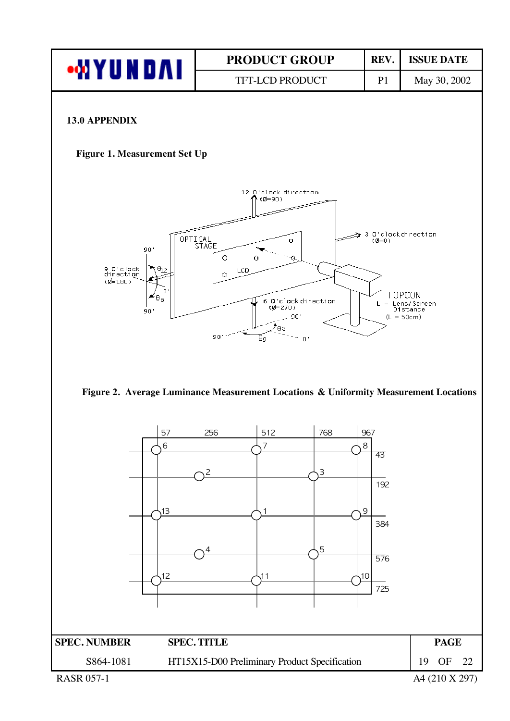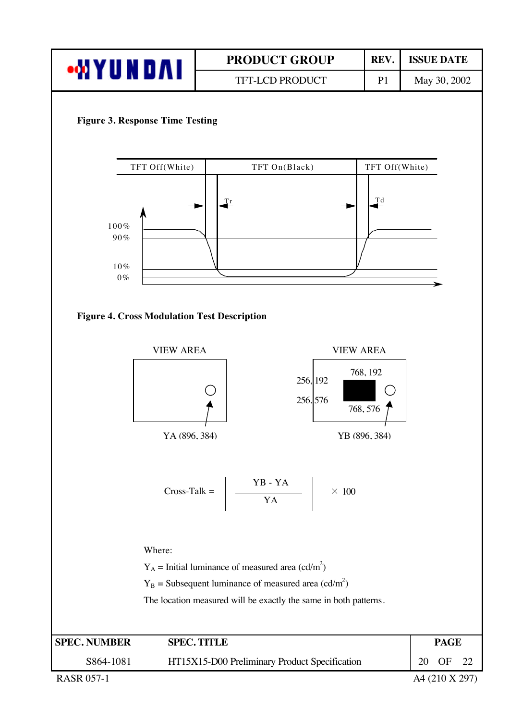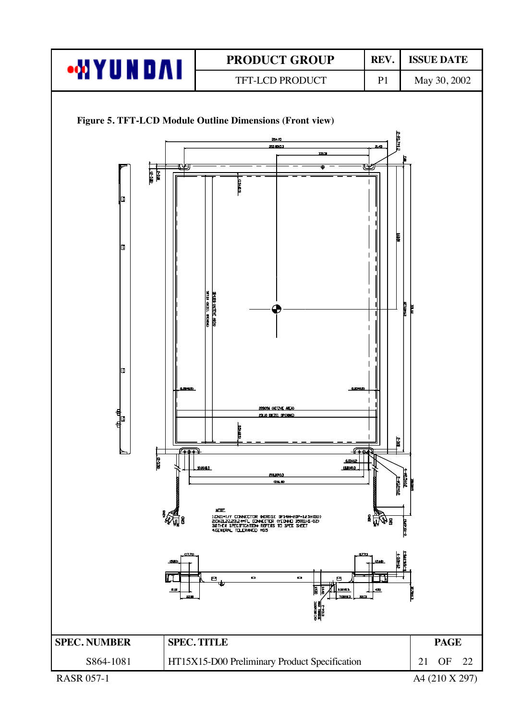